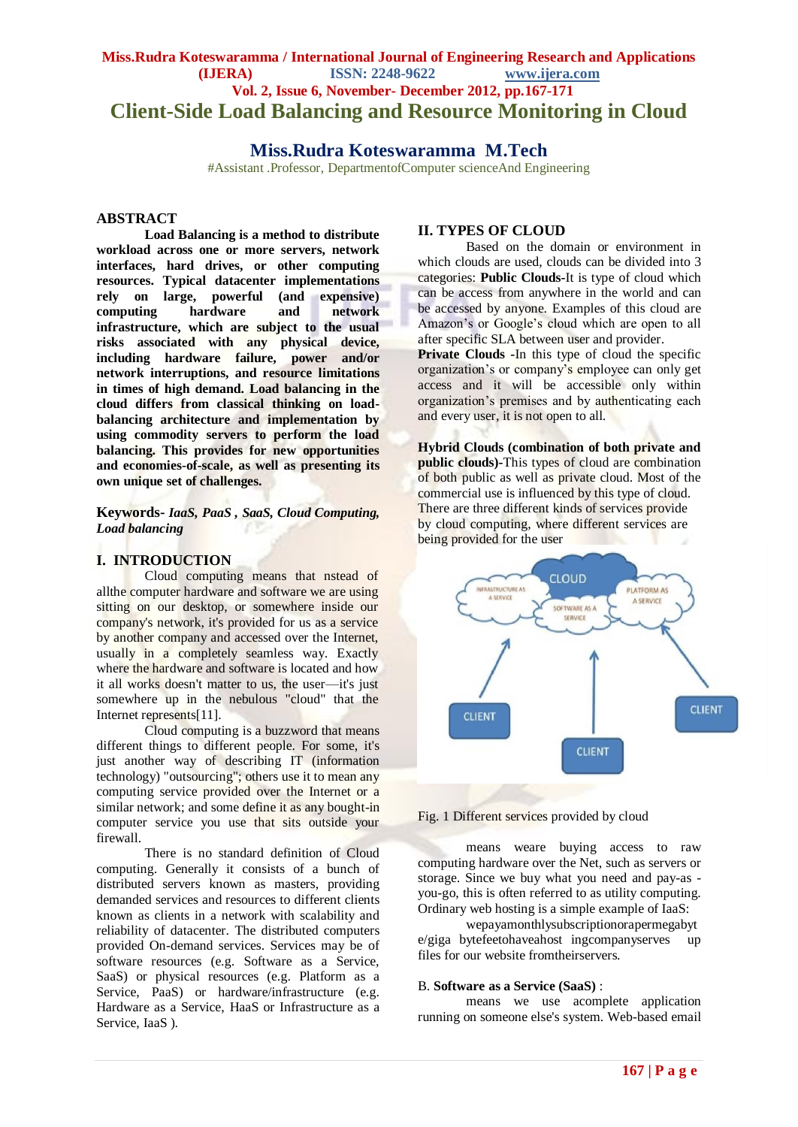# **Miss.Rudra Koteswaramma / International Journal of Engineering Research and Applications (IJERA) ISSN: 2248-9622 www.ijera.com Vol. 2, Issue 6, November- December 2012, pp.167-171 Client-Side Load Balancing and Resource Monitoring in Cloud**

# **Miss.Rudra Koteswaramma M.Tech**

#Assistant .Professor, DepartmentofComputer scienceAnd Engineering

# **ABSTRACT**

**Load Balancing is a method to distribute workload across one or more servers, network interfaces, hard drives, or other computing resources. Typical datacenter implementations rely on large, powerful (and expensive) computing hardware and network infrastructure, which are subject to the usual risks associated with any physical device, including hardware failure, power and/or network interruptions, and resource limitations in times of high demand. Load balancing in the cloud differs from classical thinking on loadbalancing architecture and implementation by using commodity servers to perform the load balancing. This provides for new opportunities and economies-of-scale, as well as presenting its own unique set of challenges.**

**Keywords-** *IaaS, PaaS , SaaS, Cloud Computing, Load balancing*

# **I. INTRODUCTION**

Cloud computing means that nstead of allthe computer hardware and software we are using sitting on our desktop, or somewhere inside our company's network, it's provided for us as a service by another company and accessed over the Internet, usually in a completely seamless way. Exactly where the hardware and software is located and how it all works doesn't matter to us, the user—it's just somewhere up in the nebulous "cloud" that the Internet represents[11].

Cloud computing is a buzzword that means different things to different people. For some, it's just another way of describing IT (information technology) "outsourcing"; others use it to mean any computing service provided over the Internet or a similar network; and some define it as any bought-in computer service you use that sits outside your firewall.

There is no standard definition of Cloud computing. Generally it consists of a bunch of distributed servers known as masters, providing demanded services and resources to different clients known as clients in a network with scalability and reliability of datacenter. The distributed computers provided On-demand services. Services may be of software resources (e.g. Software as a Service, SaaS) or physical resources (e.g. Platform as a Service, PaaS) or hardware/infrastructure (e.g. Hardware as a Service, HaaS or Infrastructure as a Service, IaaS ).

# **II. TYPES OF CLOUD**

Based on the domain or environment in which clouds are used, clouds can be divided into 3 categories: **Public Clouds-**It is type of cloud which can be access from anywhere in the world and can be accessed by anyone. Examples of this cloud are Amazon's or Google's cloud which are open to all after specific SLA between user and provider.

**Private Clouds -**In this type of cloud the specific organization's or company's employee can only get access and it will be accessible only within organization's premises and by authenticating each and every user, it is not open to all.

**Hybrid Clouds (combination of both private and public clouds**)-This types of cloud are combination of both public as well as private cloud. Most of the commercial use is influenced by this type of cloud. There are three different kinds of services provide by cloud computing, where different services are being provided for the user





means weare buying access to raw computing hardware over the Net, such as servers or storage. Since we buy what you need and pay-as you-go, this is often referred to as utility computing. Ordinary web hosting is a simple example of IaaS:

wepayamonthlysubscriptionorapermegabyt e/giga bytefeetohaveahost ingcompanyserves up files for our website fromtheirservers.

#### B. **Software as a Service (SaaS)** :

means we use acomplete application running on someone else's system. Web-based email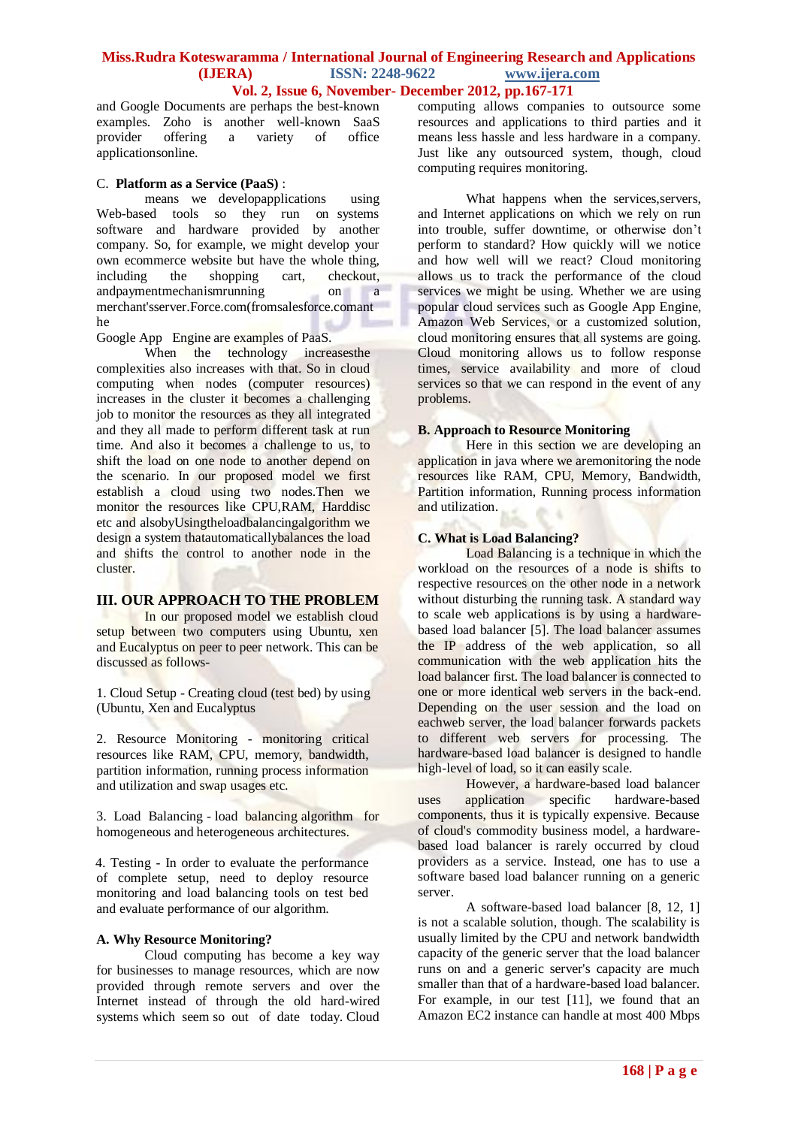# **Miss.Rudra Koteswaramma / International Journal of Engineering Research and Applications (IJERA) ISSN: 2248-9622 www.ijera.com Vol. 2, Issue 6, November- December 2012, pp.167-171**

and Google Documents are perhaps the best-known examples. Zoho is another well-known SaaS<br>provider offering a variety of office provider offering a variety of office applicationsonline.

### C. **Platform as a Service (PaaS)** :

means we developapplications using Web-based tools so they run on systems software and hardware provided by another company. So, for example, we might develop your own ecommerce website but have the whole thing, including the shopping cart, checkout, andpaymentmechanismrunning on a merchant'sserver.Force.com(fromsalesforce.comant he

Google App Engine are examples of PaaS.

When the technology increasesthe complexities also increases with that. So in cloud computing when nodes (computer resources) increases in the cluster it becomes a challenging job to monitor the resources as they all integrated and they all made to perform different task at run time. And also it becomes a challenge to us, to shift the load on one node to another depend on the scenario. In our proposed model we first establish a cloud using two nodes.Then we monitor the resources like CPU,RAM, Harddisc etc and alsobyUsingtheloadbalancingalgorithm we design a system thatautomaticallybalances the load and shifts the control to another node in the cluster.

## **III. OUR APPROACH TO THE PROBLEM**

In our proposed model we establish cloud setup between two computers using Ubuntu, xen and Eucalyptus on peer to peer network. This can be discussed as follows-

1. Cloud Setup - Creating cloud (test bed) by using (Ubuntu, Xen and Eucalyptus

2. Resource Monitoring - monitoring critical resources like RAM, CPU, memory, bandwidth, partition information, running process information and utilization and swap usages etc.

3. Load Balancing - load balancing algorithm for homogeneous and heterogeneous architectures.

4. Testing - In order to evaluate the performance of complete setup, need to deploy resource monitoring and load balancing tools on test bed and evaluate performance of our algorithm.

#### **A. Why Resource Monitoring?**

Cloud computing has become a key way for businesses to manage resources, which are now provided through remote servers and over the Internet instead of through the old hard-wired systems which seem so out of date today. Cloud computing allows companies to outsource some resources and applications to third parties and it means less hassle and less hardware in a company. Just like any outsourced system, though, cloud computing requires monitoring.

What happens when the services, servers, and Internet applications on which we rely on run into trouble, suffer downtime, or otherwise don't perform to standard? How quickly will we notice and how well will we react? Cloud monitoring allows us to track the performance of the cloud services we might be using. Whether we are using popular cloud services such as Google App Engine, Amazon Web Services, or a customized solution, cloud monitoring ensures that all systems are going. Cloud monitoring allows us to follow response times, service availability and more of cloud services so that we can respond in the event of any problems.

#### **B. Approach to Resource Monitoring**

Here in this section we are developing an application in java where we aremonitoring the node resources like RAM, CPU, Memory, Bandwidth, Partition information, Running process information and utilization.

## **C. What is Load Balancing?**

Load Balancing is a technique in which the workload on the resources of a node is shifts to respective resources on the other node in a network without disturbing the running task. A standard way to scale web applications is by using a hardwarebased load balancer [5]. The load balancer assumes the IP address of the web application, so all communication with the web application hits the load balancer first. The load balancer is connected to one or more identical web servers in the back-end. Depending on the user session and the load on eachweb server, the load balancer forwards packets to different web servers for processing. The hardware-based load balancer is designed to handle high-level of load, so it can easily scale.

However, a hardware-based load balancer uses application specific hardware-based components, thus it is typically expensive. Because of cloud's commodity business model, a hardwarebased load balancer is rarely occurred by cloud providers as a service. Instead, one has to use a software based load balancer running on a generic server.

A software-based load balancer [8, 12, 1] is not a scalable solution, though. The scalability is usually limited by the CPU and network bandwidth capacity of the generic server that the load balancer runs on and a generic server's capacity are much smaller than that of a hardware-based load balancer. For example, in our test [11], we found that an Amazon EC2 instance can handle at most 400 Mbps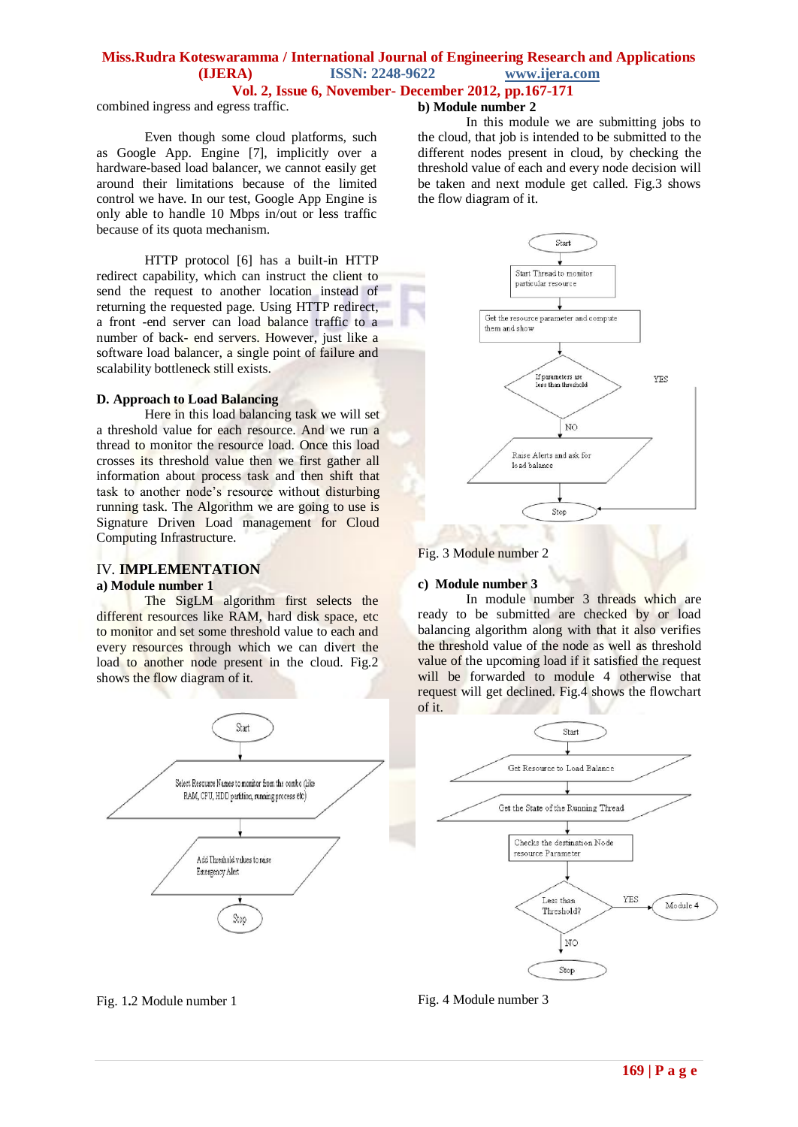# **Miss.Rudra Koteswaramma / International Journal of Engineering Research and Applications (IJERA) ISSN: 2248-9622 www.ijera.com**

# **Vol. 2, Issue 6, November- December 2012, pp.167-171**

combined ingress and egress traffic.

Even though some cloud platforms, such as Google App. Engine [7], implicitly over a hardware-based load balancer, we cannot easily get around their limitations because of the limited control we have. In our test, Google App Engine is only able to handle 10 Mbps in/out or less traffic because of its quota mechanism.

HTTP protocol [6] has a built-in HTTP redirect capability, which can instruct the client to send the request to another location instead of returning the requested page. Using HTTP redirect, a front -end server can load balance traffic to a number of back- end servers. However, just like a software load balancer, a single point of failure and scalability bottleneck still exists.

#### **D. Approach to Load Balancing**

Here in this load balancing task we will set a threshold value for each resource. And we run a thread to monitor the resource load. Once this load crosses its threshold value then we first gather all information about process task and then shift that task to another node's resource without disturbing running task. The Algorithm we are going to use is Signature Driven Load management for Cloud Computing Infrastructure.

## IV. **IMPLEMENTATION a) Module number 1**

The SigLM algorithm first selects the different resources like RAM, hard disk space, etc to monitor and set some threshold value to each and every resources through which we can divert the load to another node present in the cloud. Fig.2 shows the flow diagram of it.



#### Fig. 1**.**2 Module number 1

# **b) Module number 2**

In this module we are submitting jobs to the cloud, that job is intended to be submitted to the different nodes present in cloud, by checking the threshold value of each and every node decision will be taken and next module get called. Fig.3 shows the flow diagram of it.



#### Fig. 3 Module number 2

#### **c) Module number 3**

In module number 3 threads which are ready to be submitted are checked by or load balancing algorithm along with that it also verifies the threshold value of the node as well as threshold value of the upcoming load if it satisfied the request will be forwarded to module 4 otherwise that request will get declined. Fig.4 shows the flowchart of it.



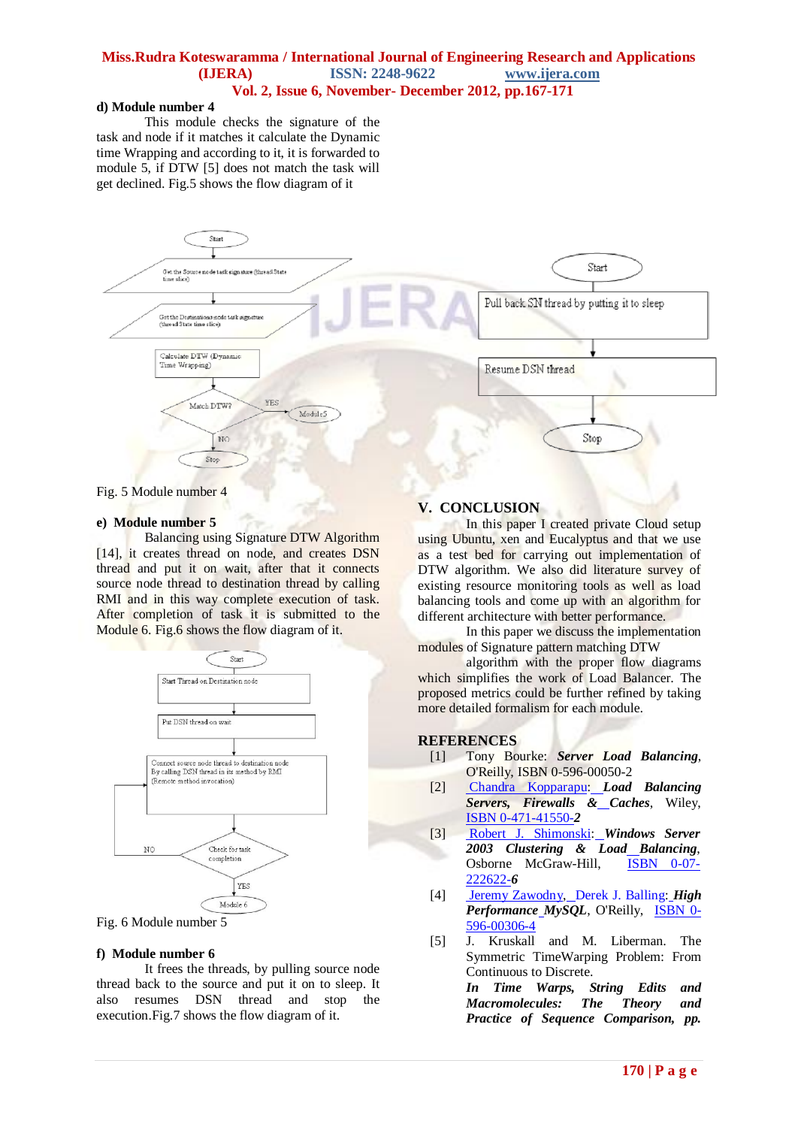## **Miss.Rudra Koteswaramma / International Journal of Engineering Research and Applications (IJERA) ISSN: 2248-9622 www.ijera.com Vol. 2, Issue 6, November- December 2012, pp.167-171**

#### **d) Module number 4**

This module checks the signature of the task and node if it matches it calculate the Dynamic time Wrapping and according to it, it is forwarded to module 5, if DTW [5] does not match the task will get declined. Fig.5 shows the flow diagram of it



Fig. 5 Module number 4

#### **e) Module number 5**

Balancing using Signature DTW Algorithm [14], it creates thread on node, and creates DSN thread and put it on wait, after that it connects source node thread to destination thread by calling RMI and in this way complete execution of task. After completion of task it is submitted to the Module 6. Fig.6 shows the flow diagram of it.



Fig. 6 Module number 5

#### **f) Module number 6**

It frees the threads, by pulling source node thread back to the source and put it on to sleep. It also resumes DSN thread and stop the execution.Fig.7 shows the flow diagram of it.

# **V. CONCLUSION**

In this paper I created private Cloud setup using Ubuntu, xen and Eucalyptus and that we use as a test bed for carrying out implementation of DTW algorithm. We also did literature survey of existing resource monitoring tools as well as load balancing tools and come up with an algorithm for different architecture with better performance.

In this paper we discuss the implementation modules of Signature pattern matching DTW

algorithm with the proper flow diagrams which simplifies the work of Load Balancer. The proposed metrics could be further refined by taking more detailed formalism for each module.

## **REFERENCES**

- [1] Tony Bourke: *Server Load Balancing*, O'Reilly, ISBN 0-596-00050-2
- [2] [Chandra Kopparapu](http://en.wikipedia.org/w/index.php?title=Chandra_Kopparapu&action=edit&redlink=1): *Load Balancing Servers, Firewalls & Caches*, Wiley, [ISBN 0-471-41550-](http://en.wikipedia.org/wiki/Special:BookSources/0471415502)*2*
- [3] [Robert J. Shimonski](http://en.wikipedia.org/w/index.php?title=Robert_J._Shimonski&action=edit&redlink=1): *Windows Server 2003 Clustering & Load Balancing*, Osborne McGraw-Hill, [ISBN 0-07-](http://en.wikipedia.org/wiki/Special:BookSources/0072226226) [222622-](http://en.wikipedia.org/wiki/Special:BookSources/0072226226)*6*
- [4] [Jeremy Zawodny](http://en.wikipedia.org/wiki/Jeremy_Zawodny), [Derek J. Balling](http://en.wikipedia.org/w/index.php?title=Derek_J._Balling&action=edit&redlink=1): *High Performance MySQL*, O'Reilly, [ISBN 0-](http://en.wikipedia.org/wiki/Special:BookSources/0596003064) [596-00306-4](http://en.wikipedia.org/wiki/Special:BookSources/0596003064)
- [5] J. Kruskall and M. Liberman. The Symmetric TimeWarping Problem: From Continuous to Discrete.

*In Time Warps, String Edits and Macromolecules: The Theory and Practice of Sequence Comparison, pp.*